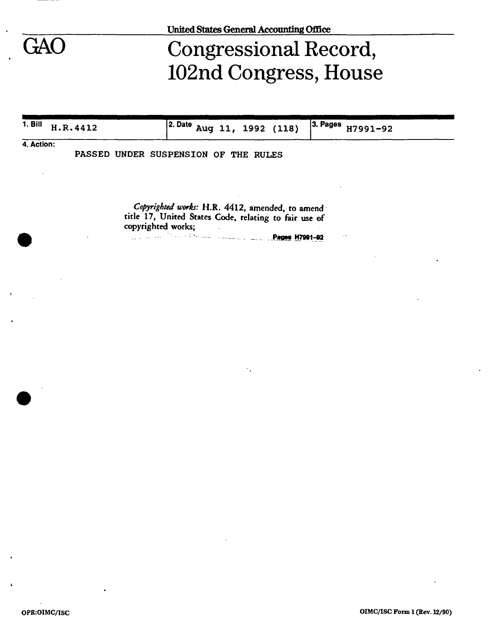# GAO Congressional Record, 102nd Congress, House

| $1. B$ ill | H.R.4412 | 2. Date<br>Aug 11, 1992 (118)                                                                            | 3. Pages<br>H7991-92 |
|------------|----------|----------------------------------------------------------------------------------------------------------|----------------------|
| 4. Action: |          |                                                                                                          |                      |
|            |          | PASSED UNDER SUSPENSION OF THE RULES                                                                     |                      |
|            |          |                                                                                                          |                      |
|            |          |                                                                                                          |                      |
|            |          | Copyrighted works: H.R. 4412, amended, to amend<br>title 17, United States Code, relating to fair use of |                      |
|            |          | copyrighted works;                                                                                       |                      |
|            |          | <b>Pages H7991-92</b>                                                                                    |                      |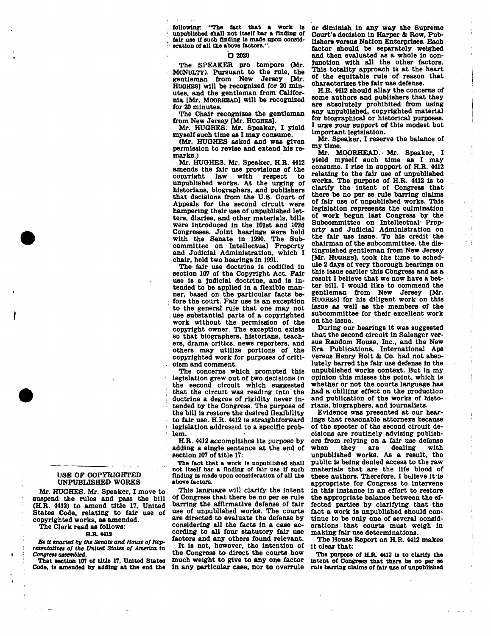**following: "The tact that a work la or diminish In any way the Supreme unpublished shall not Itself bar a finding of fair use If such finding is made upon consideration of all the above factors.".** 

#### **D 2020**

**The SPEAKER pro tempore (Mr. MCNULTY). Pursuant to the rule, the gentleman from New Jersey [Mr. HUGHES] will be recognized for 20 minutes, and the gentleman from California [Mr. MOORHEAD] will be recognized for 20 minutes.** 

**The Chair recognizes the gentleman from New Jersey [Mr. HUGHES].** 

**Mr. HUGHES. Mr. Speaker, I yield myself such time as I may consume.** 

**(Mr. HUGHES asked and was given permission to revise and extend his remarks.)** 

**Mr. HUGHES. Mr. Speaker. H.R. 4412 amends the fair use provisions of the**  copyright law **unpublished works. At the urging of historians, biographers, and publishers that decisions from the U.S. Court of Appeals for the second circuit were hampering their use of unpublished letters, diaries, and other materials, bills were Introduced in the 101st and 102d Congresses. Joint hearings were held with the Senate in 1990. The Subcommittee on Intellectual Property and Judicial Administration, which I chair, held two hearings in 1991.** 

**The fair use doctrine is codified in section 107 of the Copyright Act. Fair use is a judicial doctrine, and is intended to be applied in a flexible manner, based on the particular facts before the court. Fair use is an exception to the general rule that one may not . use substantial parts of a copyrighted work without the permission of the copyright owner. The exception exists so that biographers, historians, teachers, drama critics, news reporters, and others may utilize portions of the copyrighted work for purposes of criticism and comment.** 

**The concerns which prompted this legislation grew out of two decisions in the second circuit which suggested that the circuit was reading into the doctrine a degree of rigidity never intended by the Congress. The purpose of the bill Is restore the desired flexibility to fair use. H.R. 4412 is straightforward legislation addressed to a specific problem.** 

**H.R. 4412 accomplishes its purpose by adding a single sentence at the end of section 107 of title 17:** 

**The fact that a work Is unpublished shall not Itself bar a finding of fair use If such finding Is made upon consideration of all the above factors.** 

**This language will clarify the intent of Congress that there be no per se rule barring the affirmative defense of fair use of unpublished works. The courts are directed to evaluate the defense by considering all the facts in a case according to all four statutory fair use factors and any others found relevant.** 

**It is not, however, the intention of the Congress to direct the courts how much weight to give to any one factor in any particular case, nor to overrule**  **Court's decision in Harper & Row, Publishers versus Nation Enterprises. Each factor should be separately weighed and then evaluated as a whole in conjunction with all the other factors. This totality approach is at the heart of the equitable rule of reason that characterizes the fair use defense.** 

**H.R. 4412 should allay the concerns of some authors and publishers that they are absolutely prohibited from using any unpublished, copyrighted material for biographical or historical purposes. I urge your support of this modest but Important legislation.** 

**Mr. Speaker, I reserve the balance of my time.** 

**Mr. MOORHEAD.' Mr. Speaker, I yield myself such time as I may consume. I rise in support of H.R. 4412 relating to the fair use of unpublished works. The purpose of H.R. 4412 is to clarify the Intent of Congress that there be no per se rule barring claims of fair use of unpublished works. This legislation represents the culmination of work begun last Congress by the Subcommittee on Intellectual Property and Judicial Administration on the fair use issue. To his credit the chairman of the subcommittee, the distinguished gentleman from New Jersey [Mr. HUGHES], took the time to schedule 2 days of very thorough hearings on this issue earlier this Congress and as a result I believe that we now have a better bill. I would like to commend the gentleman from New Jersey [Mr. HUOHES] for his diligent work on this issue as well as the members of the subcommittee for their excellent work on the issue.** 

**During our hearings it was suggested that the second circuit in Salenger versus Random House, Inc., and the New Era Publications, International Aps versus Henry Holt & Co. had not absolutely barred the fair use defense in the unpublished works context. But in my opinion this misses the point, which is whether or not the courts language has had a chilling effect on the production and publication of the works of historians, biographers, and journalists.** 

**Evidence was presented at our hearings that reasonable attorneys because of the specter of the second circuit decisions are routinely advising publishers from relying on a fair use defense**  they are **unpublished works. As a result, the public is being denied access to the raw materials that are the life blood of these authors. Therefore, I believe it is appropriate for Congress to Intervene in this instance in an effort to restore the appropriate balance between the effected parties by clarifying that the fact a work is unpublished should continue to be only one of several considerations that courts must weigh In making fair use determinations.** 

**The House Report on H.R. 4412 makes it clear that:** 

**The purpose of H.R. 4412 Is to clarify the Intent of Congress that there be no per se rale barring claims of fair use of unpublished** 

### **USB OP COPYRIGHTED UNPUBLISHED WORKS**

**Mr. HUGHES. Mr. Speaker, I move to suspend the rules and pass the bill (H.R. 4412) to amend title 17, United States Code, relating to fair use of copyrighted works, as amended.** 

## **The Clerk read as follows:**

#### **H.R. 4412**

*Be it enacted by the Senate and House of Representatives of the United States of America* **in**  *Congress assembled.* 

**That section 107 of title 17, United States Code, is amended by adding at the end the**